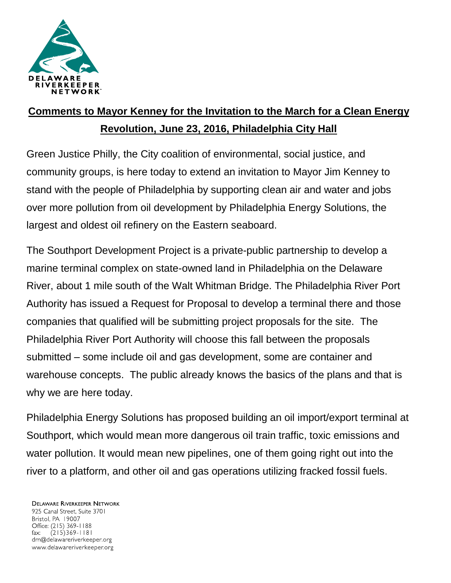

## **Comments to Mayor Kenney for the Invitation to the March for a Clean Energy Revolution, June 23, 2016, Philadelphia City Hall**

Green Justice Philly, the City coalition of environmental, social justice, and community groups, is here today to extend an invitation to Mayor Jim Kenney to stand with the people of Philadelphia by supporting clean air and water and jobs over more pollution from oil development by Philadelphia Energy Solutions, the largest and oldest oil refinery on the Eastern seaboard.

The Southport Development Project is a private-public partnership to develop a marine terminal complex on state-owned land in Philadelphia on the Delaware River, about 1 mile south of the Walt Whitman Bridge. The Philadelphia River Port Authority has issued a Request for Proposal to develop a terminal there and those companies that qualified will be submitting project proposals for the site. The Philadelphia River Port Authority will choose this fall between the proposals submitted – some include oil and gas development, some are container and warehouse concepts. The public already knows the basics of the plans and that is why we are here today.

Philadelphia Energy Solutions has proposed building an oil import/export terminal at Southport, which would mean more dangerous oil train traffic, toxic emissions and water pollution. It would mean new pipelines, one of them going right out into the river to a platform, and other oil and gas operations utilizing fracked fossil fuels.

**DELAWARE RIVERKEEPER NETWORK** 925 Canal Street, Suite 3701 Bristol, PA 19007 Office: (215) 369-1188  $(215)369 - 1181$ fax: drn@delawareriverkeeper.org www.delawareriverkeeper.org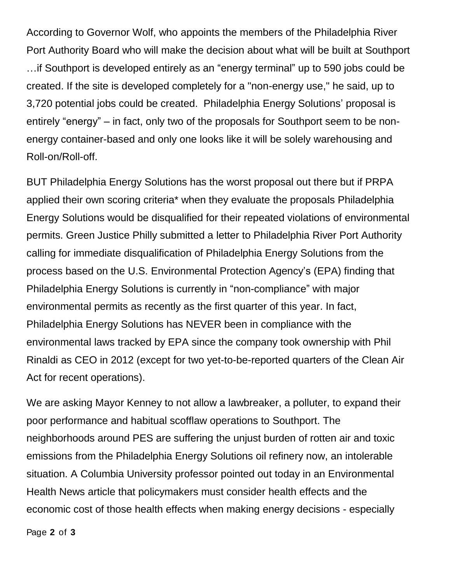According to Governor Wolf, who appoints the members of the Philadelphia River Port Authority Board who will make the decision about what will be built at Southport …if Southport is developed entirely as an "energy terminal" up to 590 jobs could be created. If the site is developed completely for a "non-energy use," he said, up to 3,720 potential jobs could be created. Philadelphia Energy Solutions' proposal is entirely "energy" – in fact, only two of the proposals for Southport seem to be nonenergy container-based and only one looks like it will be solely warehousing and Roll-on/Roll-off.

BUT Philadelphia Energy Solutions has the worst proposal out there but if PRPA applied their own scoring criteria\* when they evaluate the proposals Philadelphia Energy Solutions would be disqualified for their repeated violations of environmental permits. Green Justice Philly submitted a letter to Philadelphia River Port Authority calling for immediate disqualification of Philadelphia Energy Solutions from the process based on the U.S. Environmental Protection Agency's (EPA) finding that Philadelphia Energy Solutions is currently in "non-compliance" with major environmental permits as recently as the first quarter of this year. In fact, Philadelphia Energy Solutions has NEVER been in compliance with the environmental laws tracked by EPA since the company took ownership with Phil Rinaldi as CEO in 2012 (except for two yet-to-be-reported quarters of the Clean Air Act for recent operations).

We are asking Mayor Kenney to not allow a lawbreaker, a polluter, to expand their poor performance and habitual scofflaw operations to Southport. The neighborhoods around PES are suffering the unjust burden of rotten air and toxic emissions from the Philadelphia Energy Solutions oil refinery now, an intolerable situation. A Columbia University professor pointed out today in an Environmental Health News article that policymakers must consider health effects and the economic cost of those health effects when making energy decisions - especially

Page **2** of **3**